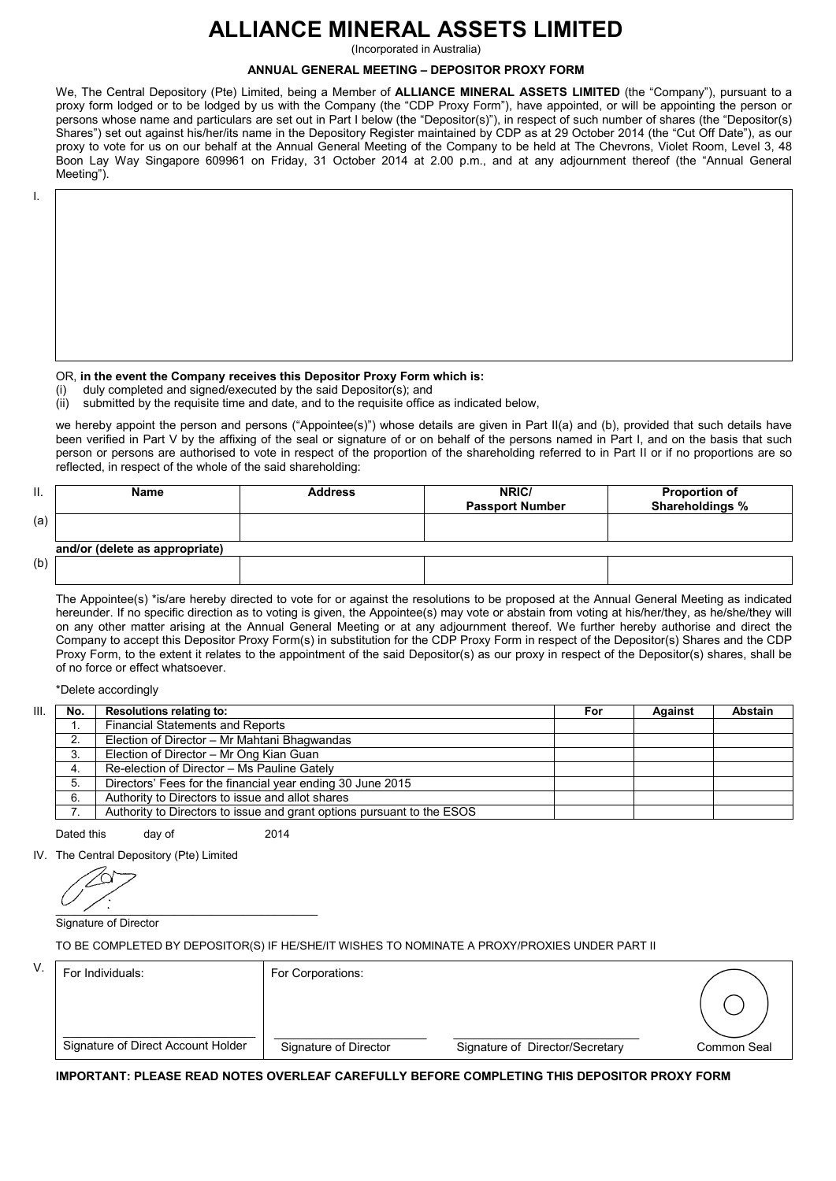# **ALLIANCE MINERAL ASSETS LIMITED**

(Incorporated in Australia)

## **ANNUAL GENERAL MEETING – DEPOSITOR PROXY FORM**

We, The Central Depository (Pte) Limited, being a Member of **ALLIANCE MINERAL ASSETS LIMITED** (the "Company"), pursuant to a proxy form lodged or to be lodged by us with the Company (the "CDP Proxy Form"), have appointed, or will be appointing the person or persons whose name and particulars are set out in Part I below (the "Depositor(s)"), in respect of such number of shares (the "Depositor(s) Shares") set out against his/her/its name in the Depository Register maintained by CDP as at 29 October 2014 (the "Cut Off Date"), as our proxy to vote for us on our behalf at the Annual General Meeting of the Company to be held at The Chevrons, Violet Room, Level 3, 48 Boon Lay Way Singapore 609961 on Friday, 31 October 2014 at 2.00 p.m., and at any adjournment thereof (the "Annual General Meeting").

I.

## OR, **in the event the Company receives this Depositor Proxy Form which is:**

(i) duly completed and signed/executed by the said Depositor(s); and

(ii) submitted by the requisite time and date, and to the requisite office as indicated below,

we hereby appoint the person and persons ("Appointee(s)") whose details are given in Part II(a) and (b), provided that such details have been verified in Part V by the affixing of the seal or signature of or on behalf of the persons named in Part I, and on the basis that such person or persons are authorised to vote in respect of the proportion of the shareholding referred to in Part II or if no proportions are so reflected, in respect of the whole of the said shareholding:

| Π.  | <b>Name</b>                    | <b>Address</b> | NRIC/<br><b>Passport Number</b> | <b>Proportion of</b><br>Shareholdings % |
|-----|--------------------------------|----------------|---------------------------------|-----------------------------------------|
| (a) |                                |                |                                 |                                         |
|     | and/or (delete as appropriate) |                |                                 |                                         |
| (b) |                                |                |                                 |                                         |

The Appointee(s) \*is/are hereby directed to vote for or against the resolutions to be proposed at the Annual General Meeting as indicated hereunder. If no specific direction as to voting is given, the Appointee(s) may vote or abstain from voting at his/her/they, as he/she/they will on any other matter arising at the Annual General Meeting or at any adjournment thereof. We further hereby authorise and direct the Company to accept this Depositor Proxy Form(s) in substitution for the CDP Proxy Form in respect of the Depositor(s) Shares and the CDP Proxy Form, to the extent it relates to the appointment of the said Depositor(s) as our proxy in respect of the Depositor(s) shares, shall be of no force or effect whatsoever.

\*Delete accordingly

| III. | No. | <b>Resolutions relating to:</b>                                        | For | Against | Abstain |
|------|-----|------------------------------------------------------------------------|-----|---------|---------|
|      |     | <b>Financial Statements and Reports</b>                                |     |         |         |
|      |     | Election of Director - Mr Mahtani Bhagwandas                           |     |         |         |
|      | 3.  | Election of Director - Mr Ong Kian Guan                                |     |         |         |
|      | 4.  | Re-election of Director - Ms Pauline Gately                            |     |         |         |
|      | 5.  | Directors' Fees for the financial year ending 30 June 2015             |     |         |         |
|      | 6.  | Authority to Directors to issue and allot shares                       |     |         |         |
|      |     | Authority to Directors to issue and grant options pursuant to the ESOS |     |         |         |

Dated this day of 2014

IV. The Central Depository (Pte) Limited

 $\frac{1}{2}$  ,  $\frac{1}{2}$  ,  $\frac{1}{2}$  ,  $\frac{1}{2}$  ,  $\frac{1}{2}$  ,  $\frac{1}{2}$  ,  $\frac{1}{2}$  ,  $\frac{1}{2}$  ,  $\frac{1}{2}$  ,  $\frac{1}{2}$  ,  $\frac{1}{2}$  ,  $\frac{1}{2}$  ,  $\frac{1}{2}$  ,  $\frac{1}{2}$  ,  $\frac{1}{2}$  ,  $\frac{1}{2}$  ,  $\frac{1}{2}$  ,  $\frac{1}{2}$  ,  $\frac{1$ 

Signature of Director

TO BE COMPLETED BY DEPOSITOR(S) IF HE/SHE/IT WISHES TO NOMINATE A PROXY/PROXIES UNDER PART II

| V. | For Individuals:                   | For Corporations:     |                                 |             |
|----|------------------------------------|-----------------------|---------------------------------|-------------|
|    |                                    |                       |                                 |             |
|    | Signature of Direct Account Holder | Signature of Director | Signature of Director/Secretary | Common Seal |

**IMPORTANT: PLEASE READ NOTES OVERLEAF CAREFULLY BEFORE COMPLETING THIS DEPOSITOR PROXY FORM**